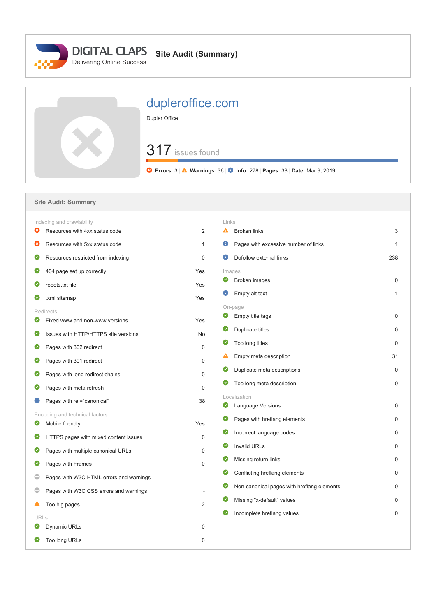

| dupleroffice.com<br>Dupler Office                                                              |
|------------------------------------------------------------------------------------------------|
| 317 issues found<br>C Errors: 3   A Warnings: 36   D Info: 278   Pages: 38   Date: Mar 9, 2019 |

## **Site Audit: Summary** Indexing and crawlability Links **8** Resources with 4xx status code 2 A Broken links 3  $\bullet$ Resources with 5xx status code 1 **C** Pages with excessive number of links 1 **D** Dofollow external links 238 **C** Resources restricted from indexing 0 **404 page set up correctly** The Ves Images **Broken images** 0 **O** robots.txt file Yes **Empty alt text** 1 **2** xml sitemap Yes On-page Redirects **Empty title tags** 0 **C** Fixed www and non-www versions The State of the State of the State of the State of the State of the State of the State of the State of the State of the State of the State of the State of the State of the State of the S **O** Duplicate titles 0  $\bullet$ Issues with HTTP/HTTPS site versions No  $\bullet$ Too long titles 0 **Pages with 302 redirect** 0 **A** Empty meta description 31 **Pages with 301 redirect** 0  $\bullet$ Duplicate meta descriptions 0 **Pages with long redirect chains** 0 **O** Too long meta description 0 **Pages with meta refresh 0** 0 Localization **C** Pages with rel="canonical" 38  $\bullet$  Language Versions 0 Encoding and technical factors  $\bullet$ Pages with hreflang elements on the contract of the contract of the contract of the contract of the contract of the contract of the contract of the contract of the contract of the contract of the contract of the contract o  $\bullet$ Mobile friendly **Yes O** Incorrect language codes 0 **C** HTTPS pages with mixed content issues 0  $\bullet$  Invalid URLs 0 **Pages with multiple canonical URLs** 0  $\bullet$ Missing return links 0 **Pages with Frames** 0  $\bullet$ Conflicting hreflang elements 0 **Pages with W3C HTML errors and warnings**  Non-canonical pages with hreflang elements 0  $\bullet$ **Pages with W3C CSS errors and warnings**  $\bullet$ Missing "x-default" values 0 A Too big pages 2 **O** Incomplete hreflang values 0 URLs **D** Dynamic URLs 0 **O** Too long URLs 0